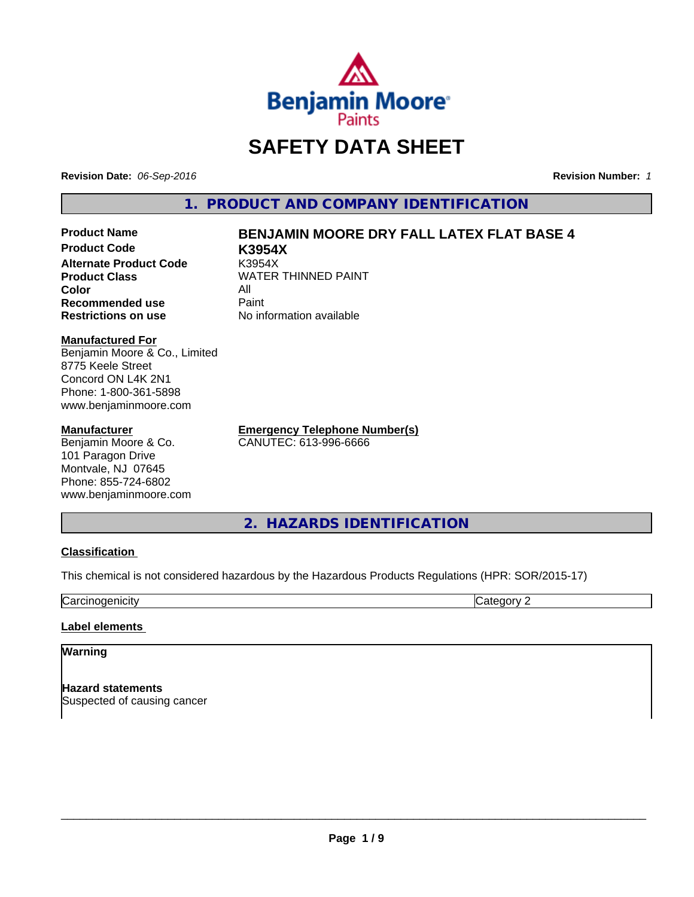

# **SAFETY DATA SHEET**

**Revision Date:** *06-Sep-2016* **Revision Number:** *1*

**1. PRODUCT AND COMPANY IDENTIFICATION**

**Product Code K3954X Alternate Product Code** K3954X **Color** All **Recommended use Paint Restrictions on use** No information available

# **Product Name BENJAMIN MOORE DRY FALL LATEX FLAT BASE 4**

**Product Class WATER THINNED PAINT** 

**Manufactured For**

Benjamin Moore & Co., Limited 8775 Keele Street Concord ON L4K 2N1 Phone: 1-800-361-5898 www.benjaminmoore.com

### **Manufacturer**

Benjamin Moore & Co. 101 Paragon Drive Montvale, NJ 07645 Phone: 855-724-6802 www.benjaminmoore.com **Emergency Telephone Number(s)** CANUTEC: 613-996-6666

**2. HAZARDS IDENTIFICATION**

# **Classification**

This chemical is not considered hazardous by the Hazardous Products Regulations (HPR: SOR/2015-17)

**Carcinogenicity** Category 2

# **Label elements**

# **Warning**

**Hazard statements** Suspected of causing cancer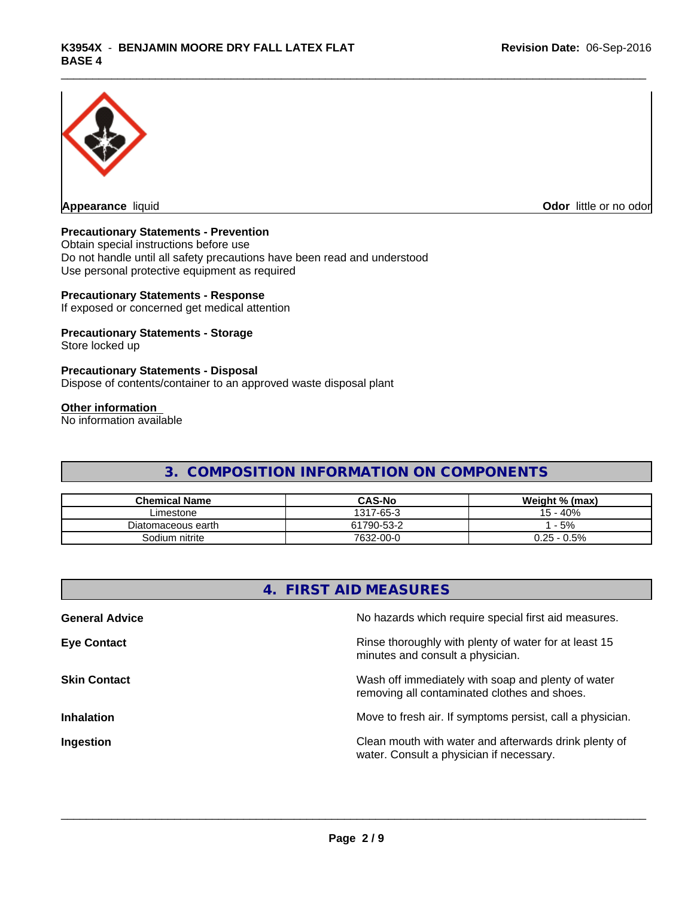

**Appearance** liquid **Contract Contract Contract Contract Contract Contract Contract Contract Contract Contract Contract Contract Contract Contract Contract Contract Contract Contract Contract Contract Contract Contract Con** 

# **Precautionary Statements - Prevention**

Obtain special instructions before use Do not handle until all safety precautions have been read and understood Use personal protective equipment as required

### **Precautionary Statements - Response**

If exposed or concerned get medical attention

# **Precautionary Statements - Storage**

Store locked up

### **Precautionary Statements - Disposal**

Dispose of contents/container to an approved waste disposal plant

# **Other information**

No information available

# **3. COMPOSITION INFORMATION ON COMPONENTS**

| <b>Chemical Name</b> | <b>CAS-No</b> | Weight % (max) |
|----------------------|---------------|----------------|
| ∟imestone_           | 1317-65-3     | 15 - 40%       |
| Diatomaceous earth   | 61790-53-2    | $-5%$          |
| Sodium nitrite       | 7632-00-0     | $0.25 - 0.5\%$ |

|                       | 4. FIRST AID MEASURES                                                                              |
|-----------------------|----------------------------------------------------------------------------------------------------|
| <b>General Advice</b> | No hazards which require special first aid measures.                                               |
| <b>Eye Contact</b>    | Rinse thoroughly with plenty of water for at least 15<br>minutes and consult a physician.          |
| <b>Skin Contact</b>   | Wash off immediately with soap and plenty of water<br>removing all contaminated clothes and shoes. |
| <b>Inhalation</b>     | Move to fresh air. If symptoms persist, call a physician.                                          |
| Ingestion             | Clean mouth with water and afterwards drink plenty of<br>water. Consult a physician if necessary.  |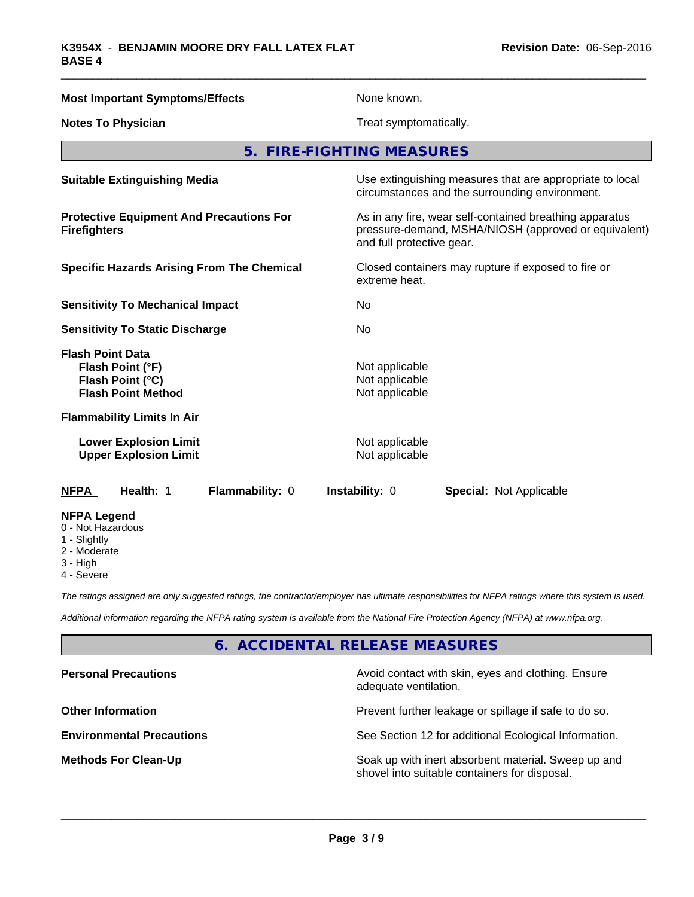| <b>Most Important Symptoms/Effects</b>                                                       | None known.                                                                                                                                  |  |  |
|----------------------------------------------------------------------------------------------|----------------------------------------------------------------------------------------------------------------------------------------------|--|--|
| <b>Notes To Physician</b>                                                                    | Treat symptomatically.                                                                                                                       |  |  |
|                                                                                              | 5. FIRE-FIGHTING MEASURES                                                                                                                    |  |  |
| <b>Suitable Extinguishing Media</b>                                                          | Use extinguishing measures that are appropriate to local<br>circumstances and the surrounding environment.                                   |  |  |
| <b>Protective Equipment And Precautions For</b><br><b>Firefighters</b>                       | As in any fire, wear self-contained breathing apparatus<br>pressure-demand, MSHA/NIOSH (approved or equivalent)<br>and full protective gear. |  |  |
| <b>Specific Hazards Arising From The Chemical</b>                                            | Closed containers may rupture if exposed to fire or<br>extreme heat.                                                                         |  |  |
| <b>Sensitivity To Mechanical Impact</b>                                                      | No                                                                                                                                           |  |  |
| <b>Sensitivity To Static Discharge</b>                                                       | No.                                                                                                                                          |  |  |
| <b>Flash Point Data</b><br>Flash Point (°F)<br>Flash Point (°C)<br><b>Flash Point Method</b> | Not applicable<br>Not applicable<br>Not applicable                                                                                           |  |  |
| <b>Flammability Limits In Air</b>                                                            |                                                                                                                                              |  |  |
| <b>Lower Explosion Limit</b><br><b>Upper Explosion Limit</b>                                 | Not applicable<br>Not applicable                                                                                                             |  |  |
| Health: 1<br>Flammability: 0<br>NFPA                                                         | Instability: 0<br><b>Special: Not Applicable</b>                                                                                             |  |  |
| <b>NFPA Legend</b><br>0 - Not Hazardous<br>1 - Slightly<br>2 - Moderate<br>? ⊔iah            |                                                                                                                                              |  |  |

- 3 High
- 4 Severe

*The ratings assigned are only suggested ratings, the contractor/employer has ultimate responsibilities for NFPA ratings where this system is used.*

*Additional information regarding the NFPA rating system is available from the National Fire Protection Agency (NFPA) at www.nfpa.org.*

# **6. ACCIDENTAL RELEASE MEASURES**

| <b>Personal Precautions</b>      | Avoid contact with skin, eyes and clothing. Ensure<br>adequate ventilation.                          |
|----------------------------------|------------------------------------------------------------------------------------------------------|
| <b>Other Information</b>         | Prevent further leakage or spillage if safe to do so.                                                |
| <b>Environmental Precautions</b> | See Section 12 for additional Ecological Information.                                                |
| <b>Methods For Clean-Up</b>      | Soak up with inert absorbent material. Sweep up and<br>shovel into suitable containers for disposal. |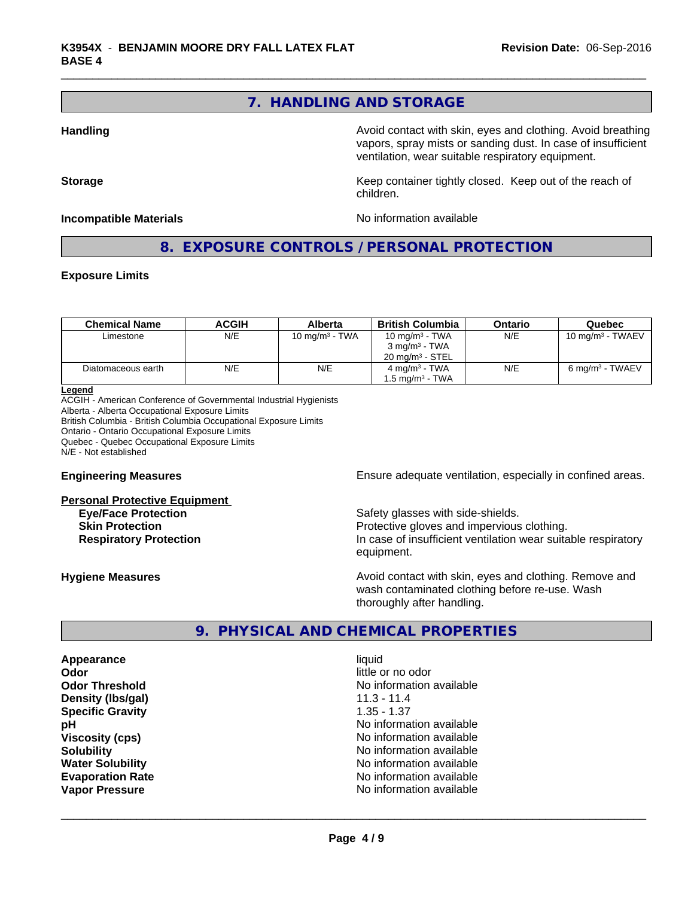# **7. HANDLING AND STORAGE**

children.

**Handling Handling Avoid contact with skin, eyes and clothing. Avoid breathing** vapors, spray mists or sanding dust. In case of insufficient ventilation, wear suitable respiratory equipment.

**Storage Keep container tightly closed. Keep out of the reach of Keep** container tightly closed. Keep out of the reach of

#### **Incompatible Materials No information available**

# **8. EXPOSURE CONTROLS / PERSONAL PROTECTION**

### **Exposure Limits**

| <b>Chemical Name</b> | ACGIH | Alberta           | British Columbia           | Ontario | Quebec                      |
|----------------------|-------|-------------------|----------------------------|---------|-----------------------------|
| Limestone            | N/E   | 10 mg/m $3$ - TWA | 10 mg/m $3$ - TWA          | N/E     | 10 mg/m $3$ - TWAEV         |
|                      |       |                   | $3 \text{ mg/m}^3$ - TWA   |         |                             |
|                      |       |                   | $20 \text{ ma/m}^3$ - STEL |         |                             |
| Diatomaceous earth   | N/E   | N/E               | $4 \text{ ma/m}^3$ - TWA   | N/E     | 6 mg/m <sup>3</sup> - TWAEV |
|                      |       |                   | 1.5 ma/m $^3$ - TWA        |         |                             |

#### **Legend**

ACGIH - American Conference of Governmental Industrial Hygienists Alberta - Alberta Occupational Exposure Limits British Columbia - British Columbia Occupational Exposure Limits Ontario - Ontario Occupational Exposure Limits Quebec - Quebec Occupational Exposure Limits N/E - Not established

#### **Personal Protective Equipment**

**Engineering Measures Ensure** Ensure adequate ventilation, especially in confined areas.

**Eye/Face Protection** Safety glasses with side-shields. **Skin Protection Protection Protective gloves and impervious clothing. Respiratory Protection In case of insufficient ventilation wear suitable respiratory** equipment.

**Hygiene Measures Avoid contact with skin, eyes and clothing. Remove and Hygiene Measures Avoid contact with skin, eyes and clothing. Remove and** wash contaminated clothing before re-use. Wash thoroughly after handling.

# **9. PHYSICAL AND CHEMICAL PROPERTIES**

**Appearance** liquid **Odor** little or no odor **Density (Ibs/gal)** 11.3 - 11.4<br>**Specific Gravity** 1.35 - 1.37 **Specific Gravity** 

**Odor Threshold**<br> **Density (Ibs/gal)**<br> **Density (Ibs/gal)**<br> **No information available**<br>
11.3 - 11.4 **pH** No information available **Viscosity (cps)** No information available in the Viscosity (cps) **Solubility No information available No information available Water Solubility Water Solubility Water Solubility No information available Evaporation Rate No information available No information available Vapor Pressure** No information available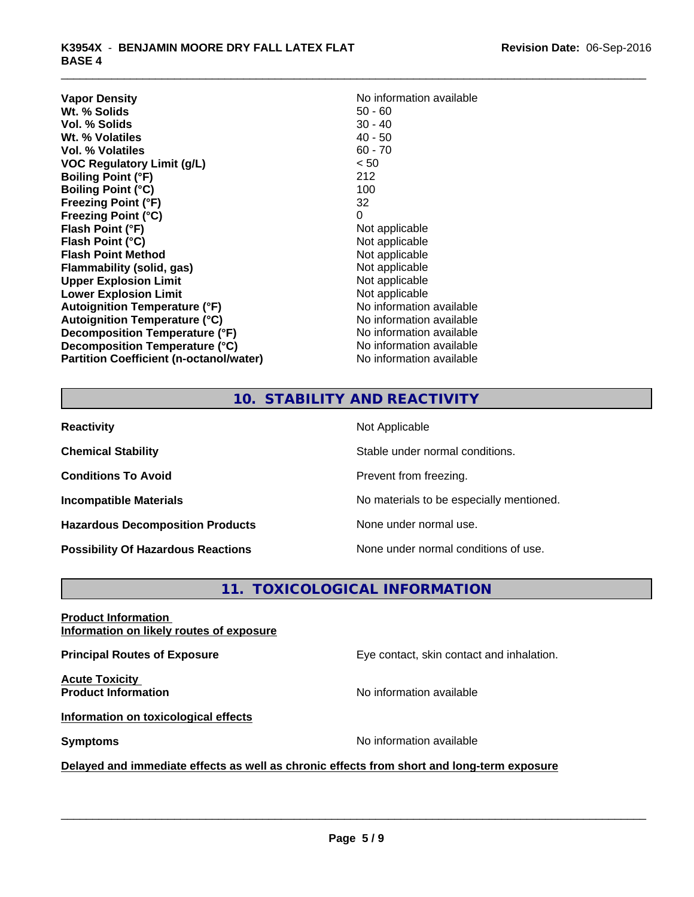| <b>Vapor Density</b>                           | No information available |
|------------------------------------------------|--------------------------|
| Wt. % Solids                                   | $50 - 60$                |
| Vol. % Solids                                  | $30 - 40$                |
| Wt. % Volatiles                                | $40 - 50$                |
| Vol. % Volatiles                               | $60 - 70$                |
| <b>VOC Regulatory Limit (g/L)</b>              | < 50                     |
| <b>Boiling Point (°F)</b>                      | 212                      |
| <b>Boiling Point (°C)</b>                      | 100                      |
| <b>Freezing Point (°F)</b>                     | 32                       |
| <b>Freezing Point (°C)</b>                     | 0                        |
| Flash Point (°F)                               | Not applicable           |
| Flash Point (°C)                               | Not applicable           |
| <b>Flash Point Method</b>                      | Not applicable           |
| Flammability (solid, gas)                      | Not applicable           |
| <b>Upper Explosion Limit</b>                   | Not applicable           |
| <b>Lower Explosion Limit</b>                   | Not applicable           |
| <b>Autoignition Temperature (°F)</b>           | No information available |
| <b>Autoignition Temperature (°C)</b>           | No information available |
| Decomposition Temperature (°F)                 | No information available |
| Decomposition Temperature (°C)                 | No information available |
| <b>Partition Coefficient (n-octanol/water)</b> | No information available |

# **No information available**<br>50 - 60 **Not applicable Not applicable Not applicable Flammability (solid, gas)** Not applicable **Not applicable Not applicable No information available Autoignition Temperature (°C)** No information available **No information available No information available No information available**

# **10. STABILITY AND REACTIVITY**

| <b>Reactivity</b>                         | Not Applicable                           |
|-------------------------------------------|------------------------------------------|
| <b>Chemical Stability</b>                 | Stable under normal conditions.          |
| <b>Conditions To Avoid</b>                | Prevent from freezing.                   |
| <b>Incompatible Materials</b>             | No materials to be especially mentioned. |
| <b>Hazardous Decomposition Products</b>   | None under normal use.                   |
| <b>Possibility Of Hazardous Reactions</b> | None under normal conditions of use.     |

# **11. TOXICOLOGICAL INFORMATION**

| <b>Product Information</b> |                                          |  |
|----------------------------|------------------------------------------|--|
|                            | Information on likely routes of exposure |  |

**Principal Routes of Exposure Exposure** Eye contact, skin contact and inhalation.

**Acute Toxicity<br>Product Information** 

**No information available** 

**Information on toxicological effects**

**Symptoms** No information available

 $\overline{\phantom{a}}$  ,  $\overline{\phantom{a}}$  ,  $\overline{\phantom{a}}$  ,  $\overline{\phantom{a}}$  ,  $\overline{\phantom{a}}$  ,  $\overline{\phantom{a}}$  ,  $\overline{\phantom{a}}$  ,  $\overline{\phantom{a}}$  ,  $\overline{\phantom{a}}$  ,  $\overline{\phantom{a}}$  ,  $\overline{\phantom{a}}$  ,  $\overline{\phantom{a}}$  ,  $\overline{\phantom{a}}$  ,  $\overline{\phantom{a}}$  ,  $\overline{\phantom{a}}$  ,  $\overline{\phantom{a}}$ 

# **Delayed and immediate effects as well as chronic effects from short and long-term exposure**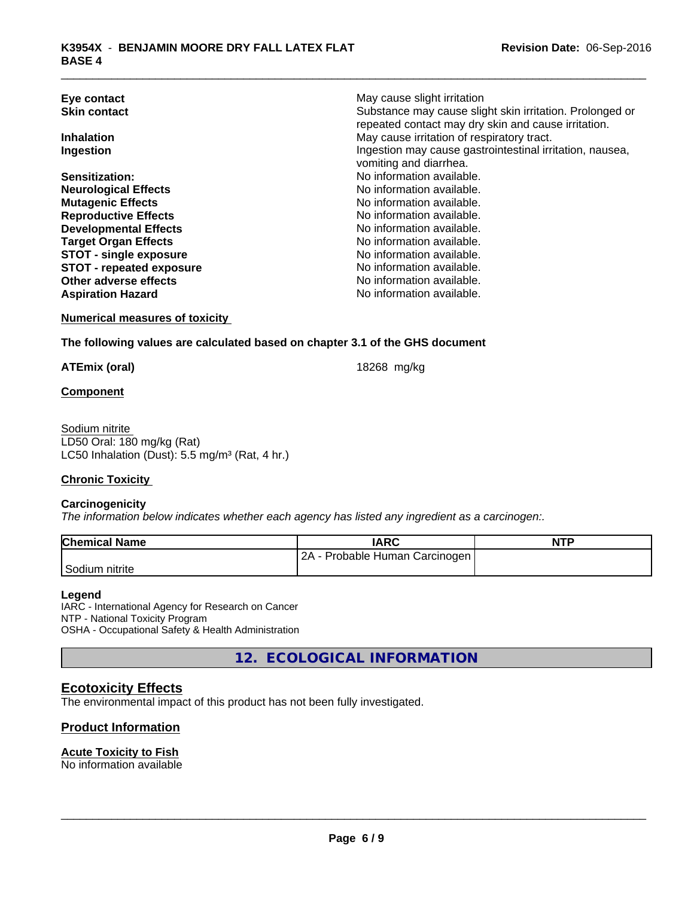| Eye contact                     | May cause slight irritation                              |
|---------------------------------|----------------------------------------------------------|
| <b>Skin contact</b>             | Substance may cause slight skin irritation. Prolonged or |
|                                 | repeated contact may dry skin and cause irritation.      |
| <b>Inhalation</b>               | May cause irritation of respiratory tract.               |
| Ingestion                       | Ingestion may cause gastrointestinal irritation, nausea, |
|                                 | vomiting and diarrhea.                                   |
| Sensitization:                  | No information available.                                |
| <b>Neurological Effects</b>     | No information available.                                |
| <b>Mutagenic Effects</b>        | No information available.                                |
| <b>Reproductive Effects</b>     | No information available.                                |
| <b>Developmental Effects</b>    | No information available.                                |
| <b>Target Organ Effects</b>     | No information available.                                |
| <b>STOT - single exposure</b>   | No information available.                                |
| <b>STOT - repeated exposure</b> | No information available.                                |
| Other adverse effects           | No information available.                                |
| <b>Aspiration Hazard</b>        | No information available.                                |

**Numerical measures of toxicity**

### **The following values are calculated based on chapter 3.1 of the GHS document**

**ATEmix (oral)** 18268 mg/kg

**Component**

Sodium nitrite LD50 Oral: 180 mg/kg (Rat) LC50 Inhalation (Dust): 5.5 mg/m<sup>3</sup> (Rat, 4 hr.)

# **Chronic Toxicity**

### **Carcinogenicity**

*The information below indicateswhether each agency has listed any ingredient as a carcinogen:.*

| <b>Chemical Name</b>        | IARC                            | <b>NTP</b> |
|-----------------------------|---------------------------------|------------|
|                             | 2A<br>Probable Human Carcinogen |            |
| <sup>'</sup> Sodium nitrite |                                 |            |

#### **Legend**

IARC - International Agency for Research on Cancer NTP - National Toxicity Program OSHA - Occupational Safety & Health Administration

**12. ECOLOGICAL INFORMATION**

# **Ecotoxicity Effects**

The environmental impact of this product has not been fully investigated.

# **Product Information**

### **Acute Toxicity to Fish**

No information available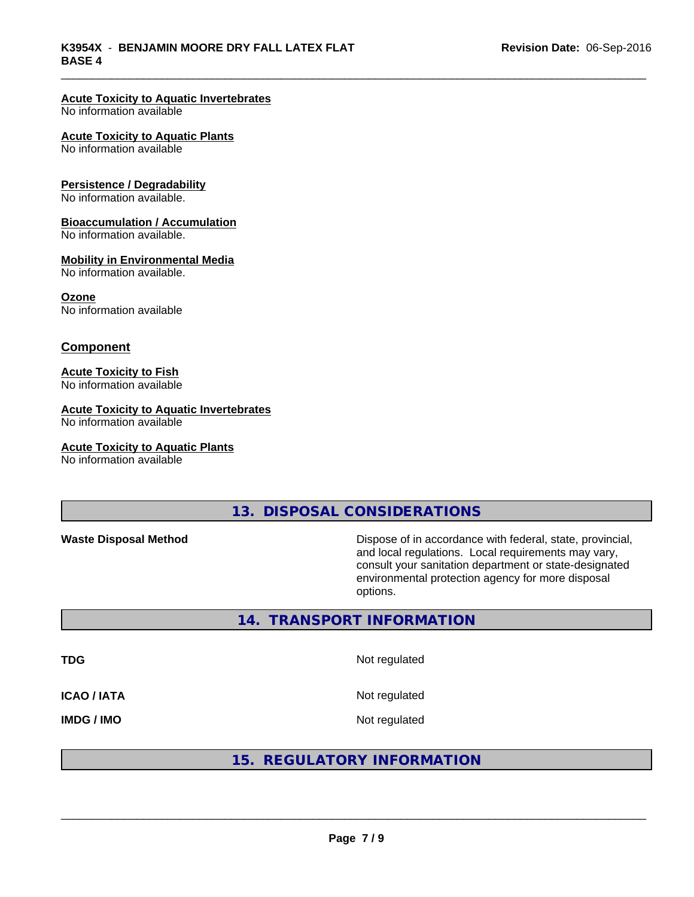#### **Acute Toxicity to Aquatic Invertebrates**

No information available

#### **Acute Toxicity to Aquatic Plants**

No information available

#### **Persistence / Degradability**

No information available.

#### **Bioaccumulation / Accumulation**

No information available.

## **Mobility in Environmental Media**

No information available.

#### **Ozone**

No information available

### **Component**

### **Acute Toxicity to Fish**

No information available

# **Acute Toxicity to Aquatic Invertebrates**

No information available

#### **Acute Toxicity to Aquatic Plants**

No information available

**13. DISPOSAL CONSIDERATIONS**

**Waste Disposal Method** Dispose of in accordance with federal, state, provincial, and local regulations. Local requirements may vary, consult your sanitation department or state-designated environmental protection agency for more disposal options.

### **14. TRANSPORT INFORMATION**

**TDG** Not regulated **ICAO / IATA** Not regulated

**IMDG / IMO** Not regulated

# **15. REGULATORY INFORMATION**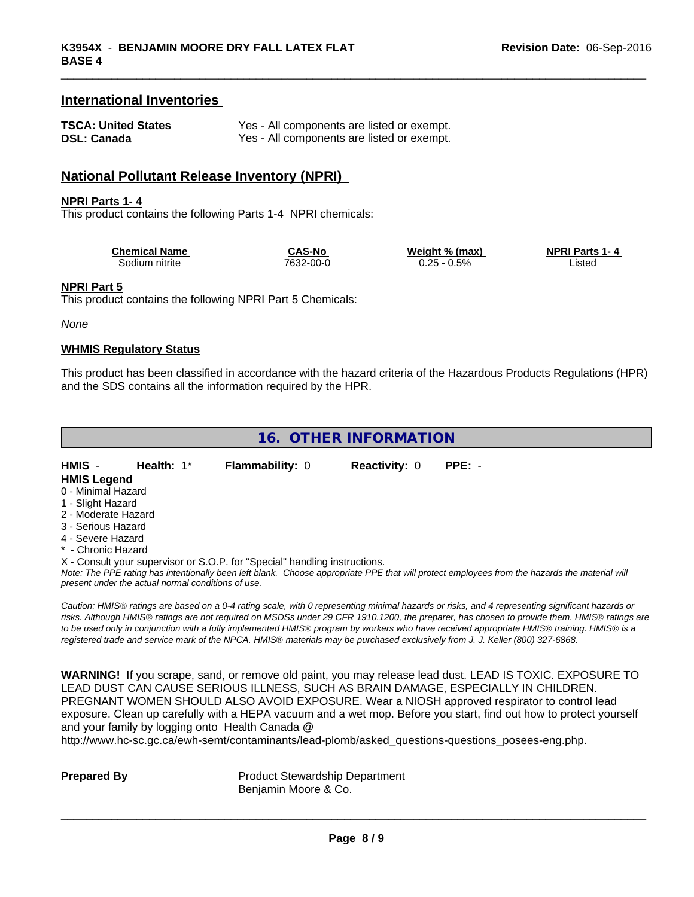# **International Inventories**

| <b>TSCA: United States</b> | Yes - All components are listed or exempt. |
|----------------------------|--------------------------------------------|
| <b>DSL: Canada</b>         | Yes - All components are listed or exempt. |

# **National Pollutant Release Inventory (NPRI)**

#### **NPRI Parts 1- 4**

This product contains the following Parts 1-4 NPRI chemicals:

| <b>Chemical Name</b> | CAS-No    | Weight % (max)            | <b>NPRI Parts 1-4</b> |
|----------------------|-----------|---------------------------|-----------------------|
| Sodium nitrite       | 7632-00-0 | $0.5\%$<br>こつに こ<br>ں ے.ر | ∟ıstec                |

#### **NPRI Part 5**

This product contains the following NPRI Part 5 Chemicals:

#### *None*

## **WHMIS Regulatory Status**

This product has been classified in accordance with the hazard criteria of the Hazardous Products Regulations (HPR) and the SDS contains all the information required by the HPR.

# **16. OTHER INFORMATION**

| HMIS -              | Health: $1^*$ | <b>Flammability: 0</b>                                                                                                    | <b>Reactivity: 0</b> | $PPE: -$ |  |
|---------------------|---------------|---------------------------------------------------------------------------------------------------------------------------|----------------------|----------|--|
| <b>HMIS Legend</b>  |               |                                                                                                                           |                      |          |  |
| 0 - Minimal Hazard  |               |                                                                                                                           |                      |          |  |
| 1 - Slight Hazard   |               |                                                                                                                           |                      |          |  |
| 2 - Moderate Hazard |               |                                                                                                                           |                      |          |  |
| 3 - Serious Hazard  |               |                                                                                                                           |                      |          |  |
| 4 - Severe Hazard   |               |                                                                                                                           |                      |          |  |
| * - Chronic Hazard  |               |                                                                                                                           |                      |          |  |
|                     |               | X - Consult your supervisor or S.O.P. for "Special" handling instructions.                                                |                      |          |  |
|                     |               | Note: The PPF rating has intentionally been left blank. Choose appropriate PPF that will protect employees from the hazar |                      |          |  |

*Note: The PPE rating has intentionally been left blank. Choose appropriate PPE that will protect employees from the hazards the material will present under the actual normal conditions of use.*

*Caution: HMISÒ ratings are based on a 0-4 rating scale, with 0 representing minimal hazards or risks, and 4 representing significant hazards or risks. Although HMISÒ ratings are not required on MSDSs under 29 CFR 1910.1200, the preparer, has chosen to provide them. HMISÒ ratings are to be used only in conjunction with a fully implemented HMISÒ program by workers who have received appropriate HMISÒ training. HMISÒ is a registered trade and service mark of the NPCA. HMISÒ materials may be purchased exclusively from J. J. Keller (800) 327-6868.*

**WARNING!** If you scrape, sand, or remove old paint, you may release lead dust. LEAD IS TOXIC. EXPOSURE TO LEAD DUST CAN CAUSE SERIOUS ILLNESS, SUCH AS BRAIN DAMAGE, ESPECIALLY IN CHILDREN. PREGNANT WOMEN SHOULD ALSO AVOID EXPOSURE.Wear a NIOSH approved respirator to control lead exposure. Clean up carefully with a HEPA vacuum and a wet mop. Before you start, find out how to protect yourself and your family by logging onto Health Canada @

http://www.hc-sc.gc.ca/ewh-semt/contaminants/lead-plomb/asked\_questions-questions\_posees-eng.php.

**Prepared By** Product Stewardship Department Benjamin Moore & Co.